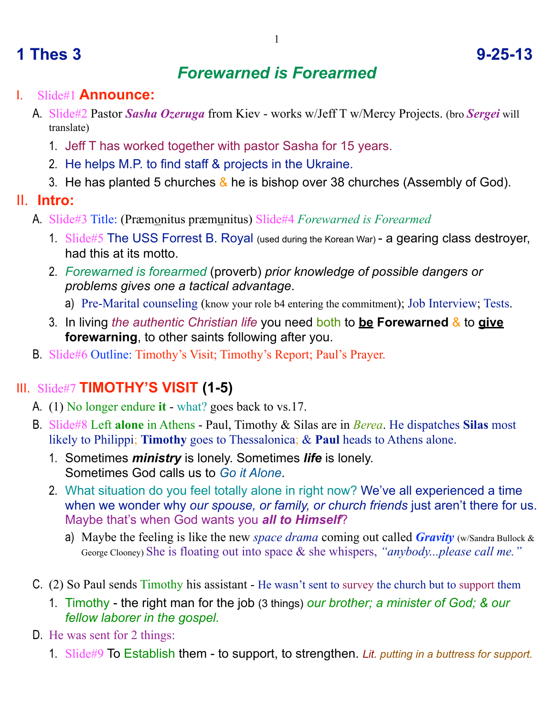# **1 Thes 3 9-25-13**

## *Forewarned is Forearmed*

#### I. Slide#1 **Announce:**

- A. Slide#2 Pastor *Sasha Ozeruga* from Kiev works w/Jeff T w/Mercy Projects. (bro *Sergei* will translate)
	- 1. Jeff T has worked together with pastor Sasha for 15 years.
	- 2. He helps M.P. to find staff & projects in the Ukraine.
	- 3. He has planted 5 churches  $\⊂>$  he is bishop over 38 churches (Assembly of God).
- II. **Intro:**
	- A. Slide#3 Title: (Præmonitus præmunitus) Slide#4 *Forewarned is Forearmed*
		- 1. Slide#5 The USS Forrest B. Royal (used during the Korean War) a gearing class destroyer, had this at its motto.
		- 2. *Forewarned is forearmed* (proverb) *prior knowledge of possible dangers or problems gives one a tactical advantage*.
			- a) Pre-Marital counseling (know your role b4 entering the commitment); Job Interview; Tests.
		- 3. In living *the authentic Christian life* you need both to **be Forewarned** & to **give forewarning**, to other saints following after you.
	- B. Slide#6 Outline: Timothy's Visit; Timothy's Report; Paul's Prayer.

### III. Slide#7 **TIMOTHY'S VISIT (1-5)**

- A. (1) No longer endure **it** what? goes back to vs.17.
- B. Slide#8 Left **alone** in Athens Paul, Timothy & Silas are in *Berea*. He dispatches **Silas** most likely to Philippi; **Timothy** goes to Thessalonica; & **Paul** heads to Athens alone.
	- 1. Sometimes *ministry* is lonely. Sometimes *life* is lonely. Sometimes God calls us to *Go it Alone*.
	- 2. What situation do you feel totally alone in right now? We've all experienced a time when we wonder why *our spouse, or family, or church friends* just aren't there for us. Maybe that's when God wants you *all to Himself*?
		- a) Maybe the feeling is like the new *space drama* coming out called *Gravity* (w/Sandra Bullock & George Clooney) She is floating out into space & she whispers, *"anybody...please call me."*
- C. (2) So Paul sends Timothy his assistant He wasn't sent to survey the church but to support them
	- 1. Timothy the right man for the job (3 things) *our brother; a minister of God; & our fellow laborer in the gospel.*
- D. He was sent for 2 things:
	- 1. Slide#9 To Establish them to support, to strengthen. *Lit. putting in a buttress for support.*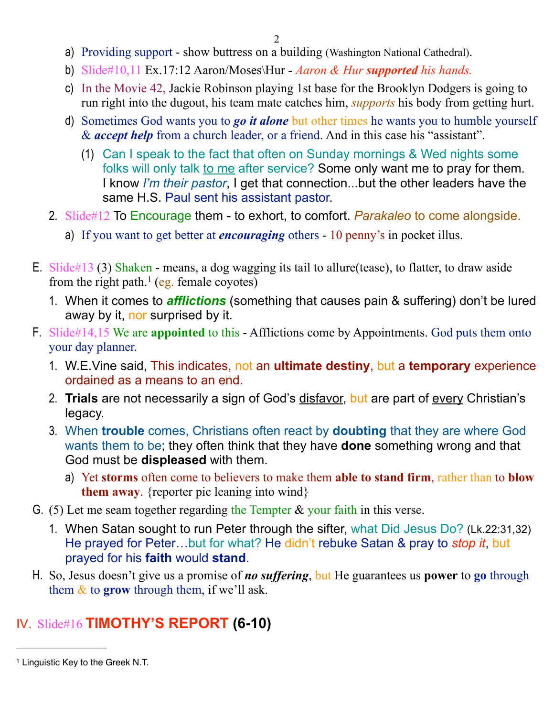- a) Providing support show buttress on a building (Washington National Cathedral).
- b) Slide#10,11 Ex.17:12 Aaron/Moses\Hur *Aaron & Hur supported his hands.*
- c) In the Movie 42, Jackie Robinson playing 1st base for the Brooklyn Dodgers is going to run right into the dugout, his team mate catches him, *supports* his body from getting hurt.
- d) Sometimes God wants you to *go it alone* but other times he wants you to humble yourself & *accept help* from a church leader, or a friend. And in this case his "assistant".
	- (1) Can I speak to the fact that often on Sunday mornings & Wed nights some folks will only talk to me after service? Some only want me to pray for them. I know *I'm their pastor*, I get that connection...but the other leaders have the same H.S. Paul sent his assistant pastor.
- 2. Slide#12 To Encourage them to exhort, to comfort. *Parakaleo* to come alongside.
	- a) If you want to get better at *encouraging* others 10 penny's in pocket illus.
- E. Slide#13 (3) Shaken means, a dog wagging its tail to allure(tease), to flatter, to draw aside from the right path.<sup>1</sup> (eg. female coyotes)
	- 1. When it comes to *afflictions* (something that causes pain & suffering) don't be lured away by it, nor surprised by it.
- F. Slide#14,15 We are **appointed** to this Afflictions come by Appointments. God puts them onto your day planner.
	- 1. W.E.Vine said, This indicates, not an **ultimate destiny**, but a **temporary** experience ordained as a means to an end.
	- 2. **Trials** are not necessarily a sign of God's disfavor, but are part of every Christian's legacy.
	- 3. When **trouble** comes, Christians often react by **doubting** that they are where God wants them to be; they often think that they have **done** something wrong and that God must be **displeased** with them.
		- a) Yet **storms** often come to believers to make them **able to stand firm**, rather than to **blow them away**. {reporter pic leaning into wind}
- G. (5) Let me seam together regarding the Tempter  $\&$  your faith in this verse.
	- 1. When Satan sought to run Peter through the sifter, what Did Jesus Do? (Lk.22:31,32) He prayed for Peter…but for what? He didn't rebuke Satan & pray to *stop it*, but prayed for his **faith** would **stand**.
- H. So, Jesus doesn't give us a promise of *no suffering*, but He guarantees us **power** to **go** through them  $\&$  to **grow** through them, if we'll ask.

#### IV. Slide#16 **TIMOTHY'S REPORT (6-10)**

<span id="page-1-0"></span><sup>1</sup> Linguistic Key to the Greek N.T.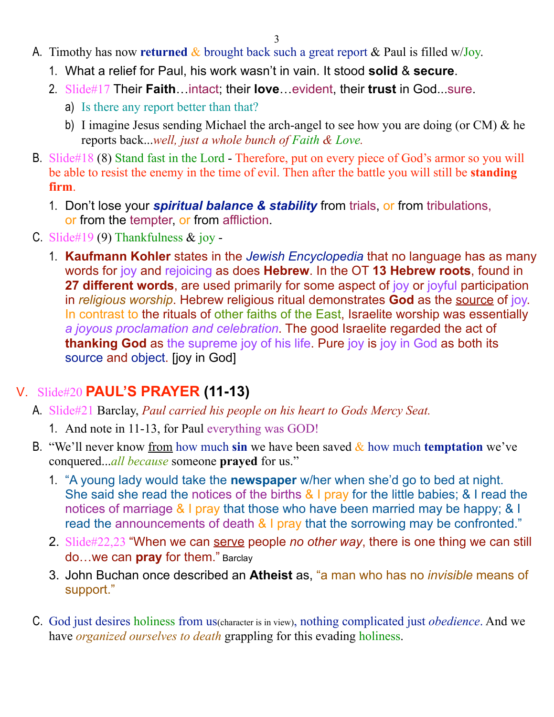- A. Timothy has now **returned** & brought back such a great report & Paul is filled w/Joy.
	- 1. What a relief for Paul, his work wasn't in vain. It stood **solid** & **secure**.
	- 2. Slide#17 Their **Faith**…intact; their **love**…evident, their **trust** in God...sure.
		- a) Is there any report better than that?
		- b) I imagine Jesus sending Michael the arch-angel to see how you are doing (or CM) & he reports back...*well, just a whole bunch of Faith & Love.*
- B. Slide#18 (8) Stand fast in the Lord Therefore, put on every piece of God's armor so you will be able to resist the enemy in the time of evil. Then after the battle you will still be **standing firm**.
	- 1. Don't lose your *spiritual balance & stability* from trials, or from tribulations, or from the tempter, or from affliction.
- C. Slide#19 (9) Thankfulness & joy
	- 1. **Kaufmann Kohler** states in the *Jewish Encyclopedia* that no language has as many words for joy and rejoicing as does **Hebrew**. In the OT **13 Hebrew roots**, found in 27 different words, are used primarily for some aspect of joy or joyful participation in *religious worship*. Hebrew religious ritual demonstrates **God** as the source of joy. In contrast to the rituals of other faiths of the East, Israelite worship was essentially *a joyous proclamation and celebration*. The good Israelite regarded the act of **thanking God** as the supreme joy of his life. Pure joy is joy in God as both its source and object. [joy in God]

### V. Slide#20 **PAUL'S PRAYER (11-13)**

- A. Slide#21 Barclay, *Paul carried his people on his heart to Gods Mercy Seat.*
	- 1. And note in 11-13, for Paul everything was GOD!
- B. "We'll never know from how much sin we have been saved  $\&$  how much **temptation** we've conquered...*all because* someone **prayed** for us."
	- 1. "A young lady would take the **newspaper** w/her when she'd go to bed at night. She said she read the notices of the births & I pray for the little babies; & I read the notices of marriage & I pray that those who have been married may be happy; & I read the announcements of death & I pray that the sorrowing may be confronted."
	- 2. Slide#22,23 "When we can serve people *no other way*, there is one thing we can still do…we can **pray** for them." Barclay
	- 3. John Buchan once described an **Atheist** as, "a man who has no *invisible* means of support."
- C. God just desires holiness from us(character is in view), nothing complicated just *obedience*. And we have *organized ourselves to death* grappling for this evading holiness.